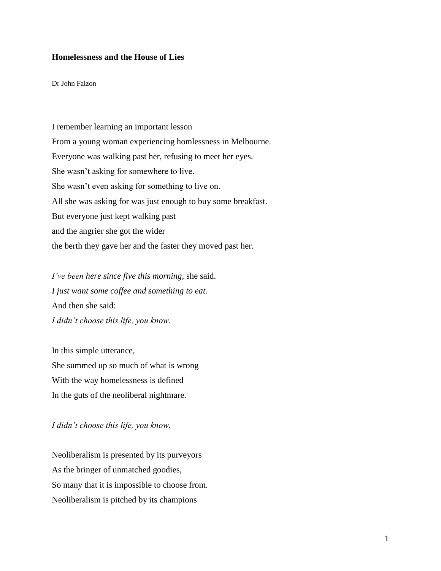## **Homelessness and the House of Lies**

Dr John Falzon

I remember learning an important lesson From a young woman experiencing homlessness in Melbourne. Everyone was walking past her, refusing to meet her eyes. She wasn't asking for somewhere to live. She wasn't even asking for something to live on. All she was asking for was just enough to buy some breakfast. But everyone just kept walking past and the angrier she got the wider the berth they gave her and the faster they moved past her.

*I've been here since five this morning,* she said. *I just want some coffee and something to eat.* And then she said: *I didn't choose this life, you know.* 

In this simple utterance, She summed up so much of what is wrong With the way homelessness is defined In the guts of the neoliberal nightmare.

*I didn't choose this life, you know.* 

Neoliberalism is presented by its purveyors As the bringer of unmatched goodies, So many that it is impossible to choose from. Neoliberalism is pitched by its champions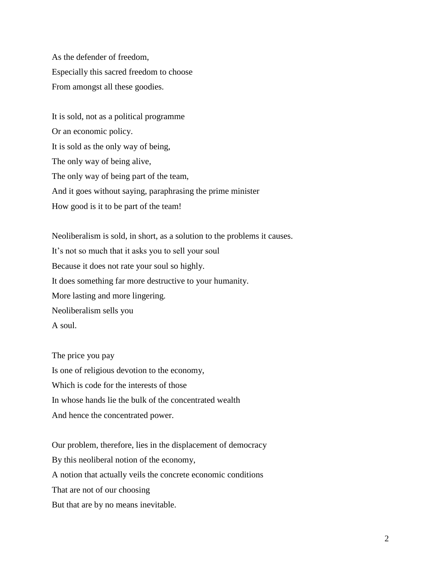As the defender of freedom, Especially this sacred freedom to choose From amongst all these goodies.

It is sold, not as a political programme Or an economic policy. It is sold as the only way of being, The only way of being alive, The only way of being part of the team, And it goes without saying, paraphrasing the prime minister How good is it to be part of the team!

Neoliberalism is sold, in short, as a solution to the problems it causes. It's not so much that it asks you to sell your soul Because it does not rate your soul so highly. It does something far more destructive to your humanity. More lasting and more lingering. Neoliberalism sells you A soul.

The price you pay Is one of religious devotion to the economy, Which is code for the interests of those In whose hands lie the bulk of the concentrated wealth And hence the concentrated power.

Our problem, therefore, lies in the displacement of democracy By this neoliberal notion of the economy, A notion that actually veils the concrete economic conditions That are not of our choosing But that are by no means inevitable.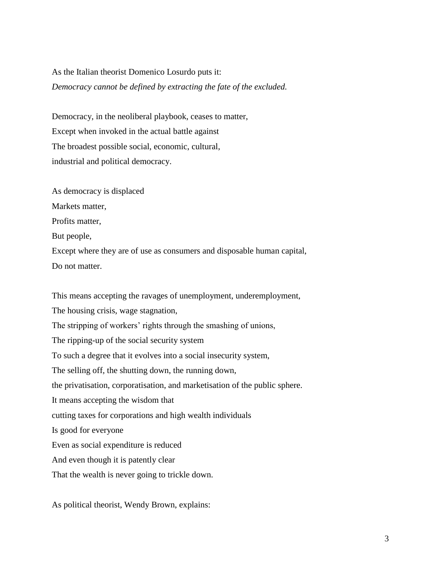## As the Italian theorist Domenico Losurdo puts it: *Democracy cannot be defined by extracting the fate of the excluded.*

Democracy, in the neoliberal playbook, ceases to matter, Except when invoked in the actual battle against The broadest possible social, economic, cultural, industrial and political democracy.

As democracy is displaced Markets matter, Profits matter, But people, Except where they are of use as consumers and disposable human capital, Do not matter.

This means accepting the ravages of unemployment, underemployment, The housing crisis, wage stagnation, The stripping of workers' rights through the smashing of unions, The ripping-up of the social security system To such a degree that it evolves into a social insecurity system, The selling off, the shutting down, the running down, the privatisation, corporatisation, and marketisation of the public sphere. It means accepting the wisdom that cutting taxes for corporations and high wealth individuals Is good for everyone Even as social expenditure is reduced And even though it is patently clear That the wealth is never going to trickle down.

As political theorist, Wendy Brown, explains: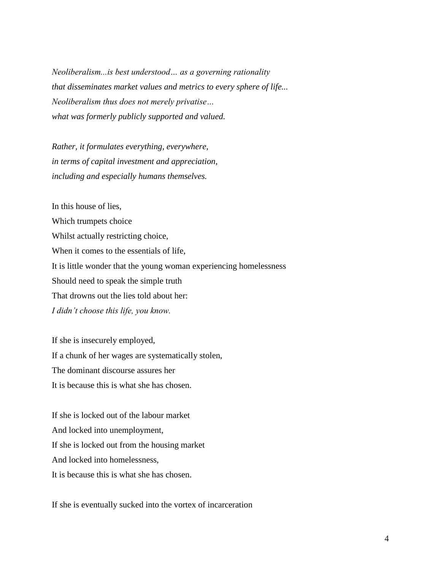*Neoliberalism...is best understood… as a governing rationality that disseminates market values and metrics to every sphere of life... Neoliberalism thus does not merely privatise… what was formerly publicly supported and valued.* 

*Rather, it formulates everything, everywhere, in terms of capital investment and appreciation, including and especially humans themselves.* 

In this house of lies, Which trumpets choice Whilst actually restricting choice, When it comes to the essentials of life, It is little wonder that the young woman experiencing homelessness Should need to speak the simple truth That drowns out the lies told about her: *I didn't choose this life, you know.* 

If she is insecurely employed, If a chunk of her wages are systematically stolen, The dominant discourse assures her It is because this is what she has chosen.

If she is locked out of the labour market And locked into unemployment, If she is locked out from the housing market And locked into homelessness, It is because this is what she has chosen.

If she is eventually sucked into the vortex of incarceration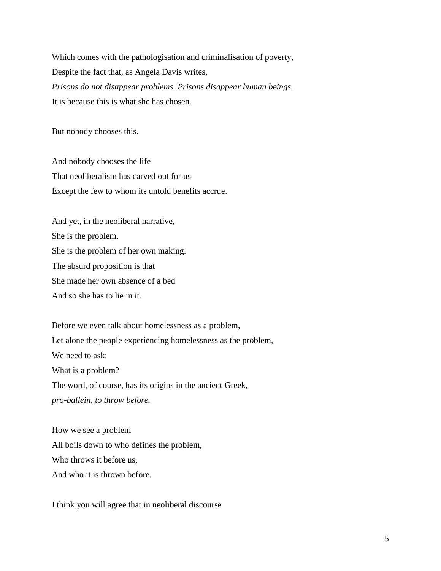Which comes with the pathologisation and criminalisation of poverty, Despite the fact that, as Angela Davis writes, *Prisons do not disappear problems. Prisons disappear human beings.* It is because this is what she has chosen.

But nobody chooses this.

And nobody chooses the life That neoliberalism has carved out for us Except the few to whom its untold benefits accrue.

And yet, in the neoliberal narrative, She is the problem. She is the problem of her own making. The absurd proposition is that She made her own absence of a bed And so she has to lie in it.

Before we even talk about homelessness as a problem, Let alone the people experiencing homelessness as the problem, We need to ask: What is a problem? The word, of course, has its origins in the ancient Greek, *pro-ballein*, *to throw before.*

How we see a problem All boils down to who defines the problem, Who throws it before us, And who it is thrown before.

I think you will agree that in neoliberal discourse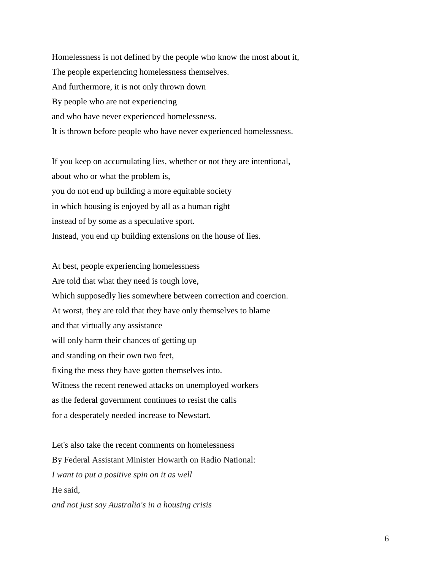Homelessness is not defined by the people who know the most about it, The people experiencing homelessness themselves. And furthermore, it is not only thrown down By people who are not experiencing and who have never experienced homelessness. It is thrown before people who have never experienced homelessness.

If you keep on accumulating lies, whether or not they are intentional, about who or what the problem is, you do not end up building a more equitable society in which housing is enjoyed by all as a human right instead of by some as a speculative sport. Instead, you end up building extensions on the house of lies.

At best, people experiencing homelessness Are told that what they need is tough love, Which supposedly lies somewhere between correction and coercion. At worst, they are told that they have only themselves to blame and that virtually any assistance will only harm their chances of getting up and standing on their own two feet, fixing the mess they have gotten themselves into. Witness the recent renewed attacks on unemployed workers as the federal government continues to resist the calls for a desperately needed increase to Newstart.

Let's also take the recent comments on homelessness By Federal Assistant Minister Howarth on Radio National: *I want to put a positive spin on it as well* He said, *and not just say Australia's in a housing crisis*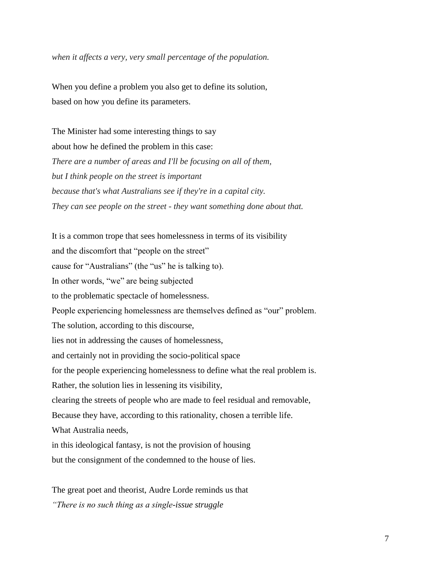*when it affects a very, very small percentage of the population.*

When you define a problem you also get to define its solution, based on how you define its parameters.

The Minister had some interesting things to say about how he defined the problem in this case: *There are a number of areas and I'll be focusing on all of them, but I think people on the street is important because that's what Australians see if they're in a capital city. They can see people on the street - they want something done about that.*

It is a common trope that sees homelessness in terms of its visibility and the discomfort that "people on the street" cause for "Australians" (the "us" he is talking to). In other words, "we" are being subjected to the problematic spectacle of homelessness. People experiencing homelessness are themselves defined as "our" problem. The solution, according to this discourse, lies not in addressing the causes of homelessness, and certainly not in providing the socio-political space for the people experiencing homelessness to define what the real problem is. Rather, the solution lies in lessening its visibility, clearing the streets of people who are made to feel residual and removable, Because they have, according to this rationality, chosen a terrible life. What Australia needs, in this ideological fantasy, is not the provision of housing but the consignment of the condemned to the house of lies.

The great poet and theorist, Audre Lorde reminds us that *"There is no such thing as a single-issue struggle*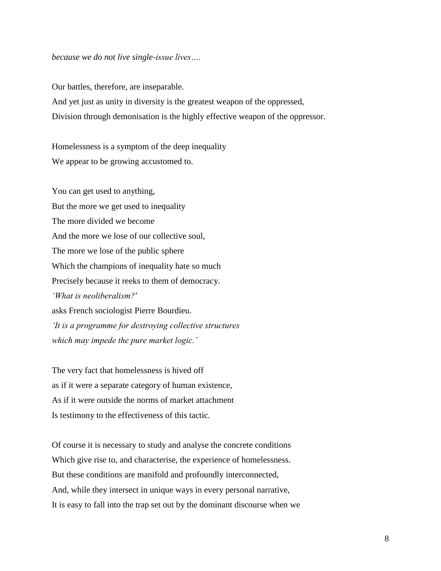## *because we do not live single-issue lives….*

Our battles, therefore, are inseparable.

And yet just as unity in diversity is the greatest weapon of the oppressed, Division through demonisation is the highly effective weapon of the oppressor.

Homelessness is a symptom of the deep inequality We appear to be growing accustomed to.

You can get used to anything, But the more we get used to inequality The more divided we become And the more we lose of our collective soul, The more we lose of the public sphere Which the champions of inequality hate so much Precisely because it reeks to them of democracy. *'What is neoliberalism?*' asks French sociologist Pierre Bourdieu. *'It is a programme for destroying collective structures which may impede the pure market logic.'* 

The very fact that homelessness is hived off as if it were a separate category of human existence, As if it were outside the norms of market attachment Is testimony to the effectiveness of this tactic.

Of course it is necessary to study and analyse the concrete conditions Which give rise to, and characterise, the experience of homelessness. But these conditions are manifold and profoundly interconnected, And, while they intersect in unique ways in every personal narrative, It is easy to fall into the trap set out by the dominant discourse when we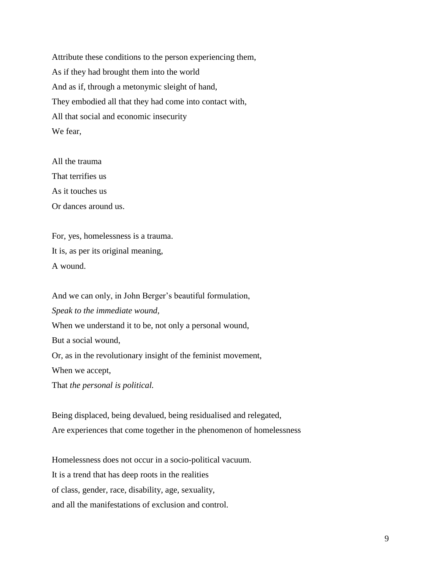Attribute these conditions to the person experiencing them, As if they had brought them into the world And as if, through a metonymic sleight of hand, They embodied all that they had come into contact with, All that social and economic insecurity We fear,

All the trauma That terrifies us As it touches us Or dances around us.

For, yes, homelessness is a trauma. It is, as per its original meaning, A wound.

And we can only, in John Berger's beautiful formulation, *Speak to the immediate wound,* When we understand it to be, not only a personal wound, But a social wound, Or, as in the revolutionary insight of the feminist movement, When we accept, That *the personal is political.*

Being displaced, being devalued, being residualised and relegated, Are experiences that come together in the phenomenon of homelessness

Homelessness does not occur in a socio-political vacuum. It is a trend that has deep roots in the realities of class, gender, race, disability, age, sexuality, and all the manifestations of exclusion and control.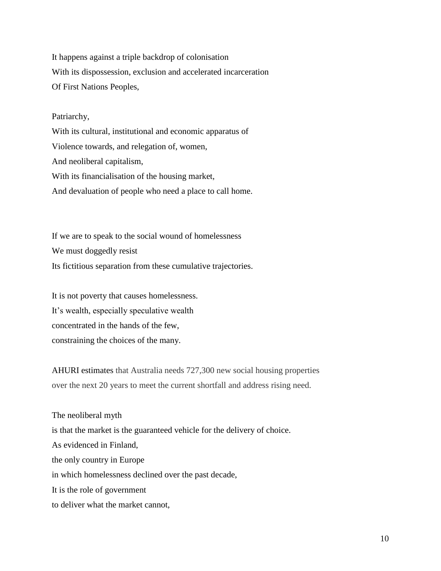It happens against a triple backdrop of colonisation With its dispossession, exclusion and accelerated incarceration Of First Nations Peoples,

## Patriarchy,

With its cultural, institutional and economic apparatus of Violence towards, and relegation of, women, And neoliberal capitalism, With its financialisation of the housing market, And devaluation of people who need a place to call home.

If we are to speak to the social wound of homelessness We must doggedly resist Its fictitious separation from these cumulative trajectories.

It is not poverty that causes homelessness. It's wealth, especially speculative wealth concentrated in the hands of the few, constraining the choices of the many.

AHURI estimates that Australia needs 727,300 new social housing properties over the next 20 years to meet the current shortfall and address rising need.

The neoliberal myth is that the market is the guaranteed vehicle for the delivery of choice. As evidenced in Finland, the only country in Europe in which homelessness declined over the past decade, It is the role of government to deliver what the market cannot,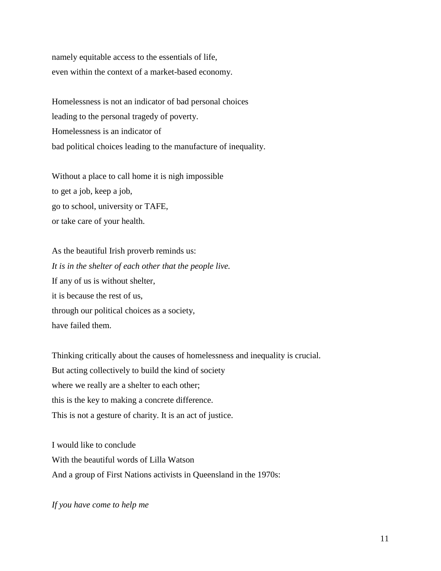namely equitable access to the essentials of life, even within the context of a market-based economy.

Homelessness is not an indicator of bad personal choices leading to the personal tragedy of poverty. Homelessness is an indicator of bad political choices leading to the manufacture of inequality.

Without a place to call home it is nigh impossible to get a job, keep a job, go to school, university or TAFE, or take care of your health.

As the beautiful Irish proverb reminds us: *It is in the shelter of each other that the people live.*  If any of us is without shelter, it is because the rest of us, through our political choices as a society, have failed them.

Thinking critically about the causes of homelessness and inequality is crucial. But acting collectively to build the kind of society where we really are a shelter to each other; this is the key to making a concrete difference. This is not a gesture of charity. It is an act of justice.

I would like to conclude With the beautiful words of Lilla Watson And a group of First Nations activists in Queensland in the 1970s:

*If you have come to help me*